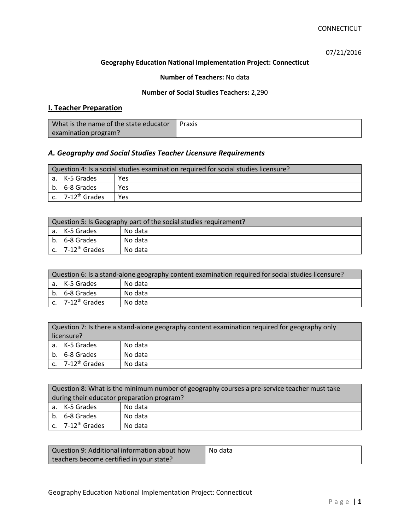07/21/2016

### **Geography Education National Implementation Project: Connecticut**

### **Number of Teachers:** No data

### **Number of Social Studies Teachers:** 2,290

# **I. Teacher Preparation**

| What is the name of the state educator | Praxis |
|----------------------------------------|--------|
| examination program?                   |        |

# *A. Geography and Social Studies Teacher Licensure Requirements*

| Question 4: Is a social studies examination required for social studies licensure? |                       |     |
|------------------------------------------------------------------------------------|-----------------------|-----|
|                                                                                    | a. K-5 Grades         | Yes |
|                                                                                    | b. 6-8 Grades         | Yes |
|                                                                                    | c. $7-12^{th}$ Grades | Yes |

| Question 5: Is Geography part of the social studies requirement? |                                |         |
|------------------------------------------------------------------|--------------------------------|---------|
|                                                                  | a. K-5 Grades                  | No data |
|                                                                  | b. 6-8 Grades                  | No data |
|                                                                  | $c.$ 7-12 <sup>th</sup> Grades | No data |

| Question 6: Is a stand-alone geography content examination required for social studies licensure? |                                |         |  |
|---------------------------------------------------------------------------------------------------|--------------------------------|---------|--|
|                                                                                                   | l a. K-5 Grades                | No data |  |
|                                                                                                   | b. 6-8 Grades                  | No data |  |
|                                                                                                   | $c.$ 7-12 <sup>th</sup> Grades | No data |  |

| Question 7: Is there a stand-alone geography content examination required for geography only |                              |         |
|----------------------------------------------------------------------------------------------|------------------------------|---------|
| licensure?                                                                                   |                              |         |
|                                                                                              | a. K-5 Grades                | No data |
|                                                                                              | b. 6-8 Grades                | No data |
|                                                                                              | c. 7-12 <sup>th</sup> Grades | No data |

|                                            | Question 8: What is the minimum number of geography courses a pre-service teacher must take |         |  |
|--------------------------------------------|---------------------------------------------------------------------------------------------|---------|--|
| during their educator preparation program? |                                                                                             |         |  |
|                                            | a. K-5 Grades                                                                               | No data |  |
|                                            | b. 6-8 Grades                                                                               | No data |  |
|                                            | c. $7-12^{th}$ Grades                                                                       | No data |  |

| Question 9: Additional information about how | No data |
|----------------------------------------------|---------|
| teachers become certified in your state?     |         |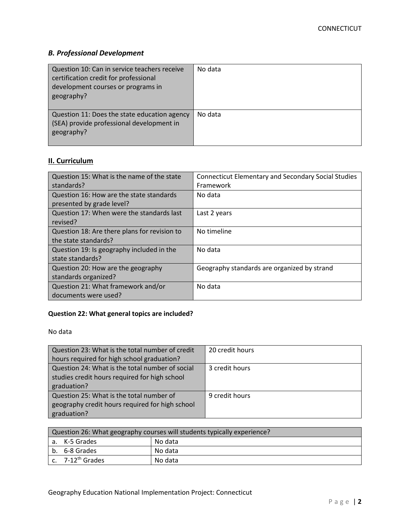# *B. Professional Development*

| Question 10: Can in service teachers receive<br>certification credit for professional<br>development courses or programs in<br>geography? | No data |
|-------------------------------------------------------------------------------------------------------------------------------------------|---------|
| Question 11: Does the state education agency<br>(SEA) provide professional development in<br>geography?                                   | No data |

# **II. Curriculum**

| Question 15: What is the name of the state   | <b>Connecticut Elementary and Secondary Social Studies</b> |
|----------------------------------------------|------------------------------------------------------------|
| standards?                                   | Framework                                                  |
| Question 16: How are the state standards     | No data                                                    |
| presented by grade level?                    |                                                            |
| Question 17: When were the standards last    | Last 2 years                                               |
| revised?                                     |                                                            |
| Question 18: Are there plans for revision to | No timeline                                                |
| the state standards?                         |                                                            |
| Question 19: Is geography included in the    | No data                                                    |
| state standards?                             |                                                            |
| Question 20: How are the geography           | Geography standards are organized by strand                |
| standards organized?                         |                                                            |
| Question 21: What framework and/or           | No data                                                    |
| documents were used?                         |                                                            |

# **Question 22: What general topics are included?**

No data

| Question 23: What is the total number of credit | 20 credit hours |
|-------------------------------------------------|-----------------|
| hours required for high school graduation?      |                 |
| Question 24: What is the total number of social | 3 credit hours  |
| studies credit hours required for high school   |                 |
| graduation?                                     |                 |
| Question 25: What is the total number of        | 9 credit hours  |
| geography credit hours required for high school |                 |
| graduation?                                     |                 |

| Question 26: What geography courses will students typically experience? |                          |         |  |  |
|-------------------------------------------------------------------------|--------------------------|---------|--|--|
|                                                                         | No data<br>a. K-5 Grades |         |  |  |
|                                                                         | b. 6-8 Grades            | No data |  |  |
|                                                                         | c. $7-12^{th}$ Grades    | No data |  |  |